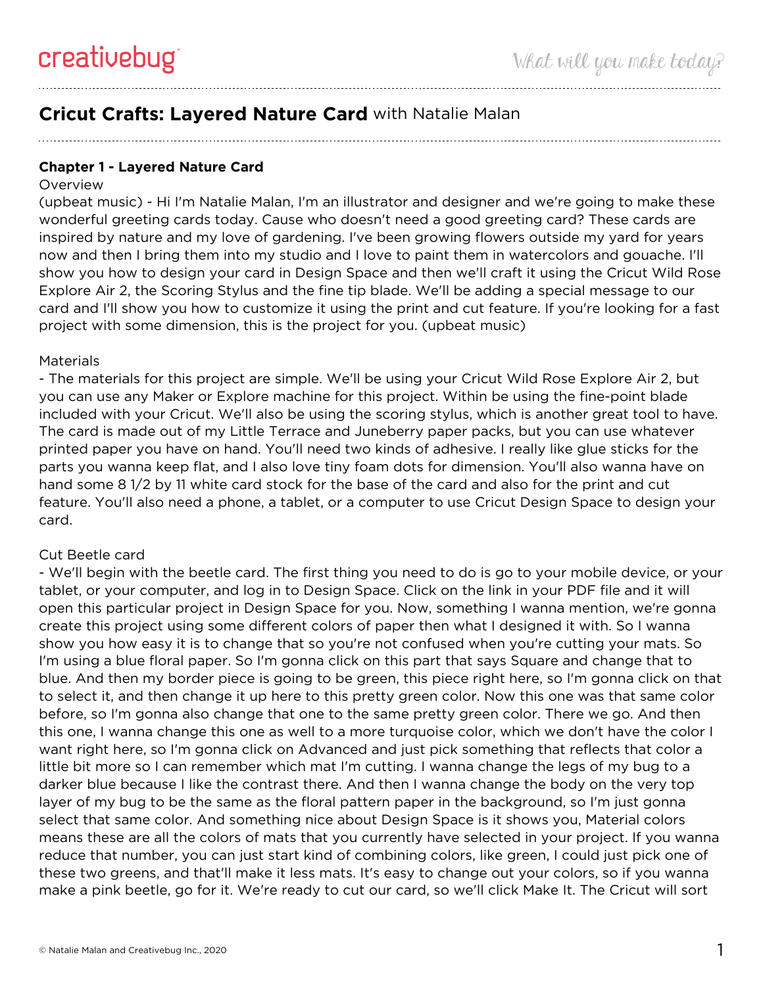# **Cricut Crafts: Layered Nature Card** with Natalie Malan

# **Chapter 1 - Layered Nature Card**

#### **Overview**

(upbeat music) - Hi I'm Natalie Malan, I'm an illustrator and designer and we're going to make these wonderful greeting cards today. Cause who doesn't need a good greeting card? These cards are inspired by nature and my love of gardening. I've been growing flowers outside my yard for years now and then I bring them into my studio and I love to paint them in watercolors and gouache. I'll show you how to design your card in Design Space and then we'll craft it using the Cricut Wild Rose Explore Air 2, the Scoring Stylus and the fine tip blade. We'll be adding a special message to our card and I'll show you how to customize it using the print and cut feature. If you're looking for a fast project with some dimension, this is the project for you. (upbeat music)

#### **Materials**

- The materials for this project are simple. We'll be using your Cricut Wild Rose Explore Air 2, but you can use any Maker or Explore machine for this project. Within be using the fine-point blade included with your Cricut. We'll also be using the scoring stylus, which is another great tool to have. The card is made out of my Little Terrace and Juneberry paper packs, but you can use whatever printed paper you have on hand. You'll need two kinds of adhesive. I really like glue sticks for the parts you wanna keep flat, and I also love tiny foam dots for dimension. You'll also wanna have on hand some 8 1/2 by 11 white card stock for the base of the card and also for the print and cut feature. You'll also need a phone, a tablet, or a computer to use Cricut Design Space to design your card.

## Cut Beetle card

- We'll begin with the beetle card. The first thing you need to do is go to your mobile device, or your tablet, or your computer, and log in to Design Space. Click on the link in your PDF file and it will open this particular project in Design Space for you. Now, something I wanna mention, we're gonna create this project using some different colors of paper then what I designed it with. So I wanna show you how easy it is to change that so you're not confused when you're cutting your mats. So I'm using a blue floral paper. So I'm gonna click on this part that says Square and change that to blue. And then my border piece is going to be green, this piece right here, so I'm gonna click on that to select it, and then change it up here to this pretty green color. Now this one was that same color before, so I'm gonna also change that one to the same pretty green color. There we go. And then this one, I wanna change this one as well to a more turquoise color, which we don't have the color I want right here, so I'm gonna click on Advanced and just pick something that reflects that color a little bit more so I can remember which mat I'm cutting. I wanna change the legs of my bug to a darker blue because I like the contrast there. And then I wanna change the body on the very top layer of my bug to be the same as the floral pattern paper in the background, so I'm just gonna select that same color. And something nice about Design Space is it shows you, Material colors means these are all the colors of mats that you currently have selected in your project. If you wanna reduce that number, you can just start kind of combining colors, like green, I could just pick one of these two greens, and that'll make it less mats. It's easy to change out your colors, so if you wanna make a pink beetle, go for it. We're ready to cut our card, so we'll click Make It. The Cricut will sort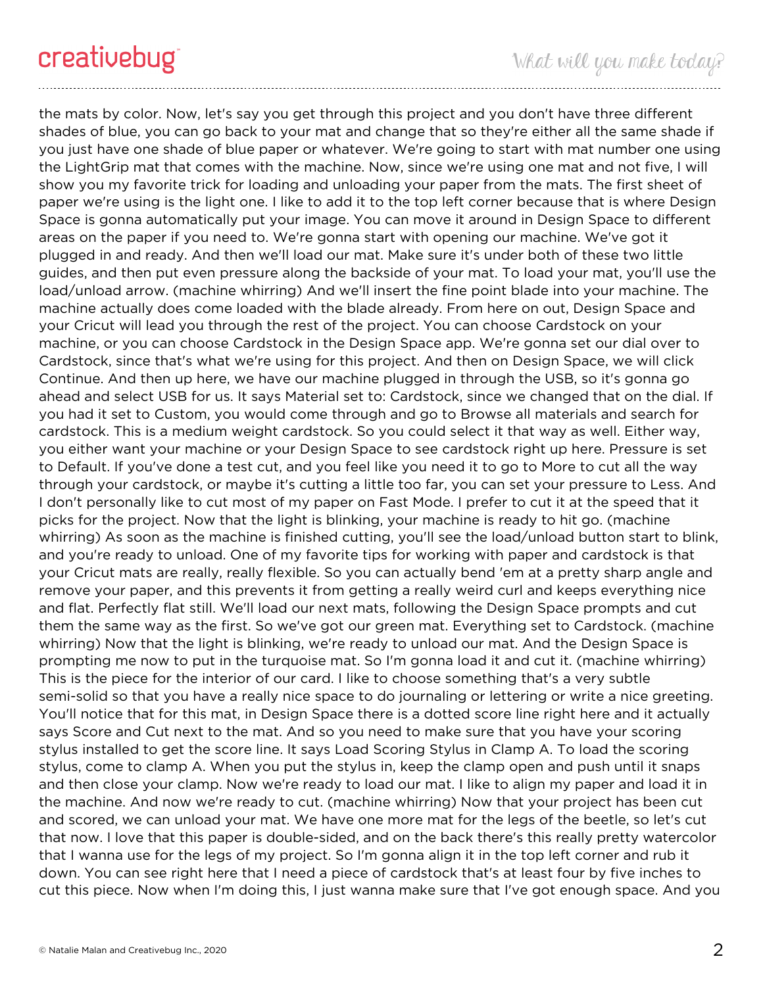the mats by color. Now, let's say you get through this project and you don't have three different shades of blue, you can go back to your mat and change that so they're either all the same shade if you just have one shade of blue paper or whatever. We're going to start with mat number one using the LightGrip mat that comes with the machine. Now, since we're using one mat and not five, I will show you my favorite trick for loading and unloading your paper from the mats. The first sheet of paper we're using is the light one. I like to add it to the top left corner because that is where Design Space is gonna automatically put your image. You can move it around in Design Space to different areas on the paper if you need to. We're gonna start with opening our machine. We've got it plugged in and ready. And then we'll load our mat. Make sure it's under both of these two little guides, and then put even pressure along the backside of your mat. To load your mat, you'll use the load/unload arrow. (machine whirring) And we'll insert the fine point blade into your machine. The machine actually does come loaded with the blade already. From here on out, Design Space and your Cricut will lead you through the rest of the project. You can choose Cardstock on your machine, or you can choose Cardstock in the Design Space app. We're gonna set our dial over to Cardstock, since that's what we're using for this project. And then on Design Space, we will click Continue. And then up here, we have our machine plugged in through the USB, so it's gonna go ahead and select USB for us. It says Material set to: Cardstock, since we changed that on the dial. If you had it set to Custom, you would come through and go to Browse all materials and search for cardstock. This is a medium weight cardstock. So you could select it that way as well. Either way, you either want your machine or your Design Space to see cardstock right up here. Pressure is set to Default. If you've done a test cut, and you feel like you need it to go to More to cut all the way through your cardstock, or maybe it's cutting a little too far, you can set your pressure to Less. And I don't personally like to cut most of my paper on Fast Mode. I prefer to cut it at the speed that it picks for the project. Now that the light is blinking, your machine is ready to hit go. (machine whirring) As soon as the machine is finished cutting, you'll see the load/unload button start to blink, and you're ready to unload. One of my favorite tips for working with paper and cardstock is that your Cricut mats are really, really flexible. So you can actually bend 'em at a pretty sharp angle and remove your paper, and this prevents it from getting a really weird curl and keeps everything nice and flat. Perfectly flat still. We'll load our next mats, following the Design Space prompts and cut them the same way as the first. So we've got our green mat. Everything set to Cardstock. (machine whirring) Now that the light is blinking, we're ready to unload our mat. And the Design Space is prompting me now to put in the turquoise mat. So I'm gonna load it and cut it. (machine whirring) This is the piece for the interior of our card. I like to choose something that's a very subtle semi-solid so that you have a really nice space to do journaling or lettering or write a nice greeting. You'll notice that for this mat, in Design Space there is a dotted score line right here and it actually says Score and Cut next to the mat. And so you need to make sure that you have your scoring stylus installed to get the score line. It says Load Scoring Stylus in Clamp A. To load the scoring stylus, come to clamp A. When you put the stylus in, keep the clamp open and push until it snaps and then close your clamp. Now we're ready to load our mat. I like to align my paper and load it in the machine. And now we're ready to cut. (machine whirring) Now that your project has been cut and scored, we can unload your mat. We have one more mat for the legs of the beetle, so let's cut that now. I love that this paper is double-sided, and on the back there's this really pretty watercolor that I wanna use for the legs of my project. So I'm gonna align it in the top left corner and rub it down. You can see right here that I need a piece of cardstock that's at least four by five inches to cut this piece. Now when I'm doing this, I just wanna make sure that I've got enough space. And you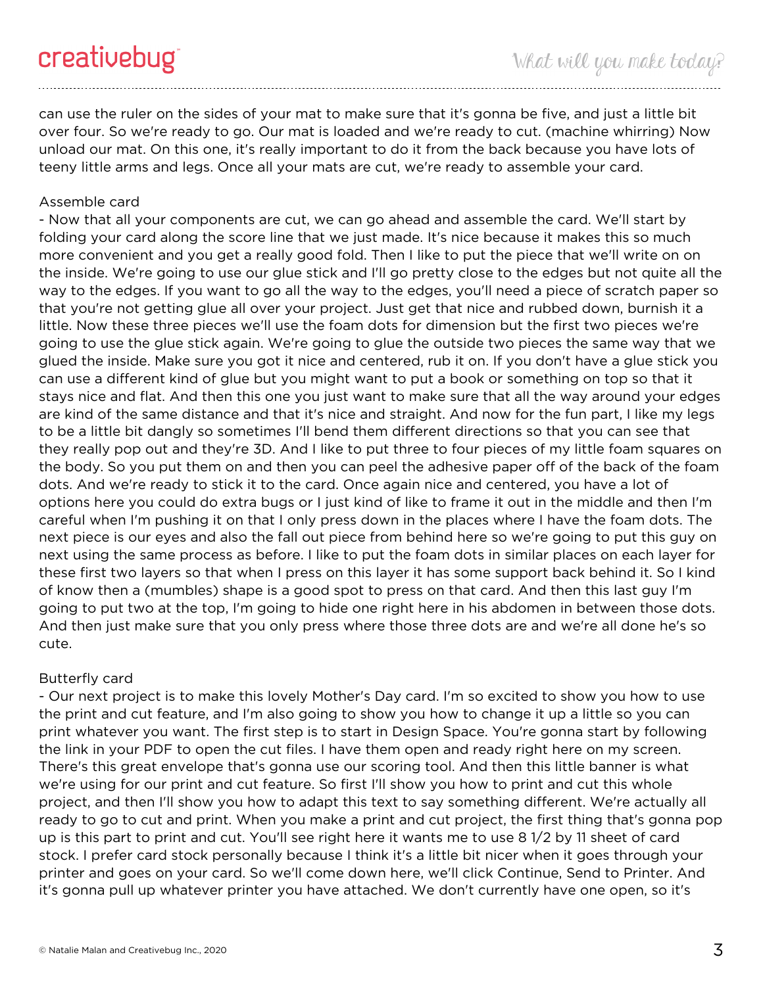can use the ruler on the sides of your mat to make sure that it's gonna be five, and just a little bit over four. So we're ready to go. Our mat is loaded and we're ready to cut. (machine whirring) Now unload our mat. On this one, it's really important to do it from the back because you have lots of teeny little arms and legs. Once all your mats are cut, we're ready to assemble your card.

# Assemble card

- Now that all your components are cut, we can go ahead and assemble the card. We'll start by folding your card along the score line that we just made. It's nice because it makes this so much more convenient and you get a really good fold. Then I like to put the piece that we'll write on on the inside. We're going to use our glue stick and I'll go pretty close to the edges but not quite all the way to the edges. If you want to go all the way to the edges, you'll need a piece of scratch paper so that you're not getting glue all over your project. Just get that nice and rubbed down, burnish it a little. Now these three pieces we'll use the foam dots for dimension but the first two pieces we're going to use the glue stick again. We're going to glue the outside two pieces the same way that we glued the inside. Make sure you got it nice and centered, rub it on. If you don't have a glue stick you can use a different kind of glue but you might want to put a book or something on top so that it stays nice and flat. And then this one you just want to make sure that all the way around your edges are kind of the same distance and that it's nice and straight. And now for the fun part, I like my legs to be a little bit dangly so sometimes I'll bend them different directions so that you can see that they really pop out and they're 3D. And I like to put three to four pieces of my little foam squares on the body. So you put them on and then you can peel the adhesive paper off of the back of the foam dots. And we're ready to stick it to the card. Once again nice and centered, you have a lot of options here you could do extra bugs or I just kind of like to frame it out in the middle and then I'm careful when I'm pushing it on that I only press down in the places where I have the foam dots. The next piece is our eyes and also the fall out piece from behind here so we're going to put this guy on next using the same process as before. I like to put the foam dots in similar places on each layer for these first two layers so that when I press on this layer it has some support back behind it. So I kind of know then a (mumbles) shape is a good spot to press on that card. And then this last guy I'm going to put two at the top, I'm going to hide one right here in his abdomen in between those dots. And then just make sure that you only press where those three dots are and we're all done he's so cute.

## Butterfly card

- Our next project is to make this lovely Mother's Day card. I'm so excited to show you how to use the print and cut feature, and I'm also going to show you how to change it up a little so you can print whatever you want. The first step is to start in Design Space. You're gonna start by following the link in your PDF to open the cut files. I have them open and ready right here on my screen. There's this great envelope that's gonna use our scoring tool. And then this little banner is what we're using for our print and cut feature. So first I'll show you how to print and cut this whole project, and then I'll show you how to adapt this text to say something different. We're actually all ready to go to cut and print. When you make a print and cut project, the first thing that's gonna pop up is this part to print and cut. You'll see right here it wants me to use 8 1/2 by 11 sheet of card stock. I prefer card stock personally because I think it's a little bit nicer when it goes through your printer and goes on your card. So we'll come down here, we'll click Continue, Send to Printer. And it's gonna pull up whatever printer you have attached. We don't currently have one open, so it's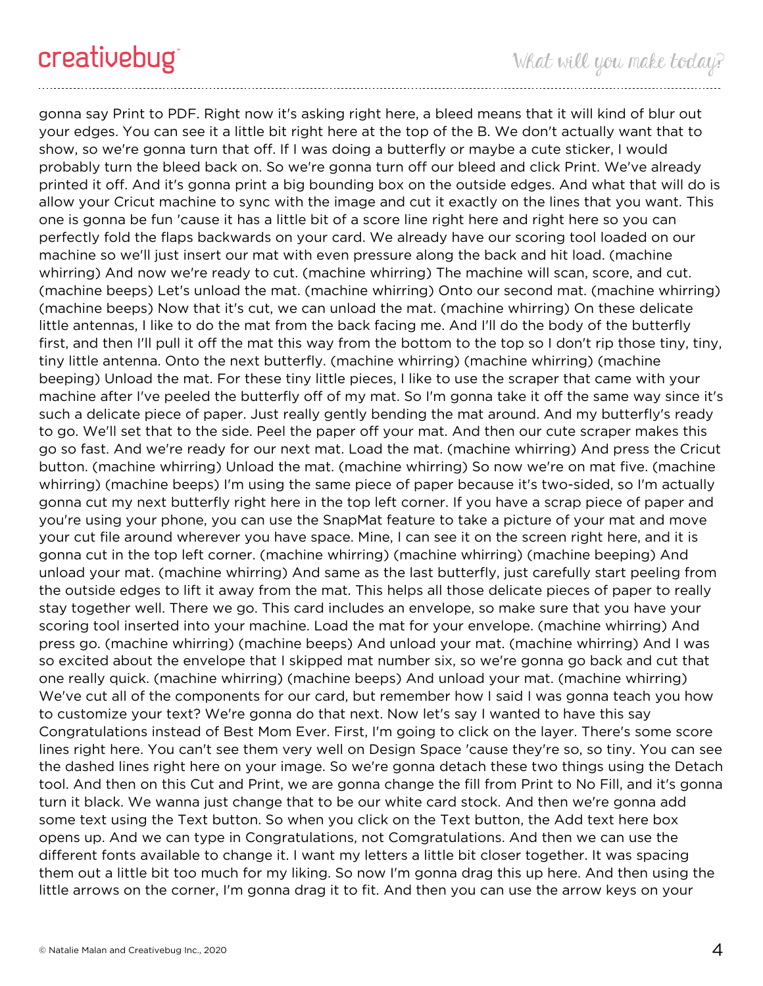gonna say Print to PDF. Right now it's asking right here, a bleed means that it will kind of blur out your edges. You can see it a little bit right here at the top of the B. We don't actually want that to show, so we're gonna turn that off. If I was doing a butterfly or maybe a cute sticker, I would probably turn the bleed back on. So we're gonna turn off our bleed and click Print. We've already printed it off. And it's gonna print a big bounding box on the outside edges. And what that will do is allow your Cricut machine to sync with the image and cut it exactly on the lines that you want. This one is gonna be fun 'cause it has a little bit of a score line right here and right here so you can perfectly fold the flaps backwards on your card. We already have our scoring tool loaded on our machine so we'll just insert our mat with even pressure along the back and hit load. (machine whirring) And now we're ready to cut. (machine whirring) The machine will scan, score, and cut. (machine beeps) Let's unload the mat. (machine whirring) Onto our second mat. (machine whirring) (machine beeps) Now that it's cut, we can unload the mat. (machine whirring) On these delicate little antennas, I like to do the mat from the back facing me. And I'll do the body of the butterfly first, and then I'll pull it off the mat this way from the bottom to the top so I don't rip those tiny, tiny, tiny little antenna. Onto the next butterfly. (machine whirring) (machine whirring) (machine beeping) Unload the mat. For these tiny little pieces, I like to use the scraper that came with your machine after I've peeled the butterfly off of my mat. So I'm gonna take it off the same way since it's such a delicate piece of paper. Just really gently bending the mat around. And my butterfly's ready to go. We'll set that to the side. Peel the paper off your mat. And then our cute scraper makes this go so fast. And we're ready for our next mat. Load the mat. (machine whirring) And press the Cricut button. (machine whirring) Unload the mat. (machine whirring) So now we're on mat five. (machine whirring) (machine beeps) I'm using the same piece of paper because it's two-sided, so I'm actually gonna cut my next butterfly right here in the top left corner. If you have a scrap piece of paper and you're using your phone, you can use the SnapMat feature to take a picture of your mat and move your cut file around wherever you have space. Mine, I can see it on the screen right here, and it is gonna cut in the top left corner. (machine whirring) (machine whirring) (machine beeping) And unload your mat. (machine whirring) And same as the last butterfly, just carefully start peeling from the outside edges to lift it away from the mat. This helps all those delicate pieces of paper to really stay together well. There we go. This card includes an envelope, so make sure that you have your scoring tool inserted into your machine. Load the mat for your envelope. (machine whirring) And press go. (machine whirring) (machine beeps) And unload your mat. (machine whirring) And I was so excited about the envelope that I skipped mat number six, so we're gonna go back and cut that one really quick. (machine whirring) (machine beeps) And unload your mat. (machine whirring) We've cut all of the components for our card, but remember how I said I was gonna teach you how to customize your text? We're gonna do that next. Now let's say I wanted to have this say Congratulations instead of Best Mom Ever. First, I'm going to click on the layer. There's some score lines right here. You can't see them very well on Design Space 'cause they're so, so tiny. You can see the dashed lines right here on your image. So we're gonna detach these two things using the Detach tool. And then on this Cut and Print, we are gonna change the fill from Print to No Fill, and it's gonna turn it black. We wanna just change that to be our white card stock. And then we're gonna add some text using the Text button. So when you click on the Text button, the Add text here box opens up. And we can type in Congratulations, not Comgratulations. And then we can use the different fonts available to change it. I want my letters a little bit closer together. It was spacing them out a little bit too much for my liking. So now I'm gonna drag this up here. And then using the little arrows on the corner, I'm gonna drag it to fit. And then you can use the arrow keys on your